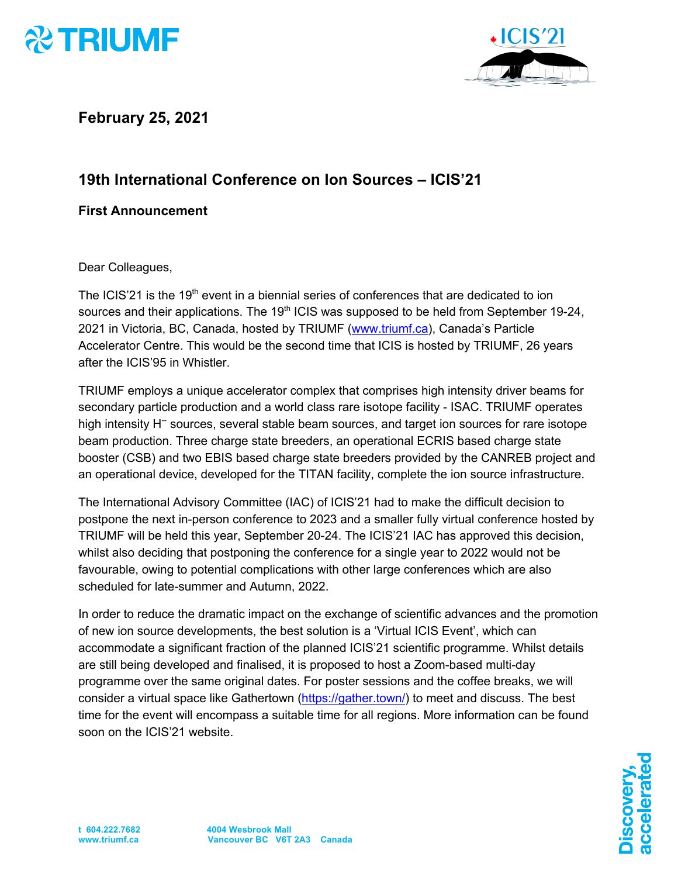



**February 25, 2021**

## **19th International Conference on Ion Sources – ICIS'21**

## **First Announcement**

Dear Colleagues,

The ICIS'21 is the 19<sup>th</sup> event in a biennial series of conferences that are dedicated to ion sources and their applications. The 19<sup>th</sup> ICIS was supposed to be held from September 19-24, 2021 in Victoria, BC, Canada, hosted by TRIUMF (www.triumf.ca), Canada's Particle Accelerator Centre. This would be the second time that ICIS is hosted by TRIUMF, 26 years after the ICIS'95 in Whistler.

TRIUMF employs a unique accelerator complex that comprises high intensity driver beams for secondary particle production and a world class rare isotope facility - ISAC. TRIUMF operates high intensity  $H^-$  sources, several stable beam sources, and target ion sources for rare isotope beam production. Three charge state breeders, an operational ECRIS based charge state booster (CSB) and two EBIS based charge state breeders provided by the CANREB project and an operational device, developed for the TITAN facility, complete the ion source infrastructure.

The International Advisory Committee (IAC) of ICIS'21 had to make the difficult decision to postpone the next in-person conference to 2023 and a smaller fully virtual conference hosted by TRIUMF will be held this year, September 20-24. The ICIS'21 IAC has approved this decision, whilst also deciding that postponing the conference for a single year to 2022 would not be favourable, owing to potential complications with other large conferences which are also scheduled for late-summer and Autumn, 2022.

In order to reduce the dramatic impact on the exchange of scientific advances and the promotion of new ion source developments, the best solution is a 'Virtual ICIS Event', which can accommodate a significant fraction of the planned ICIS'21 scientific programme. Whilst details are still being developed and finalised, it is proposed to host a Zoom-based multi-day programme over the same original dates. For poster sessions and the coffee breaks, we will consider a virtual space like Gathertown (https://gather.town/) to meet and discuss. The best time for the event will encompass a suitable time for all regions. More information can be found soon on the ICIS'21 website.